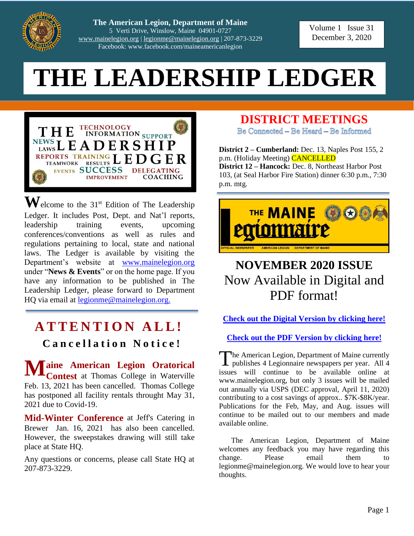

**The American Legion, Department of Maine** 5 Verti Drive, Winslow, Maine 04901-0727 [www.mainelegion.org](http://www.mainelegion.org/) [| legionme@mainelegion.org](mailto:legionme@mainelegion.org) | 207-873-3229 Facebook: www.facebook.com/maineamericanlegion

#### Volume 1 Issue 31 December 3, 2020

# **THE LEADERSHIP LEDGER**



 $\mathbf{W}$ elcome to the 31<sup>st</sup> Edition of The Leadership Ledger. It includes Post, Dept. and Nat'l reports, leadership training events, upcoming conferences/conventions as well as rules and regulations pertaining to local, state and national laws. The Ledger is available by visiting the Department's website at [www.mainelegion.org](http://www.mainelegion.org/) under "**News & Events**" or on the home page. If you have any information to be published in The Leadership Ledger, please forward to Department HQ via email at [legionme@mainelegion.org.](mailto:legionme@mainelegion.org)

# **ATTENTION ALL!**

### **C a n c e l l a t i o n N o t i c e !**

**aine American Legion Oratorical Contest** at Thomas College in Waterville Feb. 13, 2021 has been cancelled. Thomas College has postponed all facility rentals throught May 31, 2021 due to Covid-19. **Maine American Legion Oratorical**<br>Contest at Thomas College in Waterville

**Mid-Winter Conference** at Jeff's Catering in Brewer Jan. 16, 2021 has also been cancelled. However, the sweepstakes drawing will still take place at State HQ.

Any questions or concerns, please call State HQ at 207-873-3229.

### **DISTRICT MEETINGS**

Be Connected - Be Heard - Be Informed

**District 2 – Cumberland:** Dec. 13, Naples Post 155, 2 p.m. (Holiday Meeting) CANCELLED **District 12 – Hancock:** Dec. 8, Northeast Harbor Post 103, (at Seal Harbor Fire Station) dinner 6:30 p.m., 7:30 p.m. mtg.



# **NOVEMBER 2020 ISSUE**  Now Available in Digital and PDF format!

**Check out the [Digital Version by clicking here!](https://indd.adobe.com/view/d1b0b7e1-a7a7-4395-a152-a8504d8cb39a)**

**[Check out the PDF Version](http://www.mainelegion.org/media/TML/TML_2020_November_Issue.pdf) by clicking here!**

The American Legion, Department of Maine currently publishes 4 Legionnaire newspapers per year. All 4 issues will continue to be available online at www.mainelegion.org, but only 3 issues will be mailed out annually via USPS (DEC approval, April 11, 2020) contributing to a cost savings of approx.. \$7K-\$8K/year. Publications for the Feb, May, and Aug. issues will continue to be mailed out to our members and made available online.

The American Legion, Department of Maine welcomes any feedback you may have regarding this change. Please email them to legionme@mainelegion.org. We would love to hear your thoughts.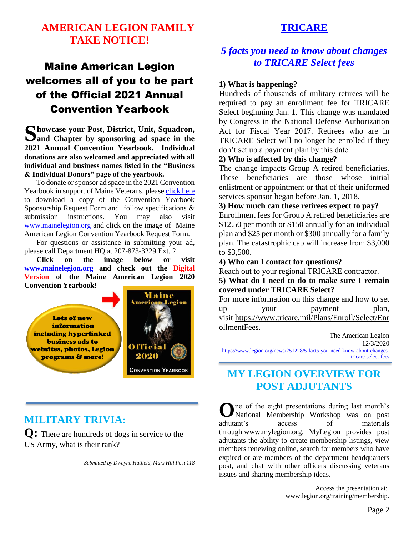### **AMERICAN LEGION FAMILY TAKE NOTICE!**

# Maine American Legion welcomes all of you to be part of the Official 2021 Annual Convention Yearbook

**howcase your Post, District, Unit, Squadron,**  Showcase your Post, District, Unit, Squadron, Sand Chapter by sponsoring ad space in the **2021 Annual Convention Yearbook. Individual donations are also welcomed and appreciated with all individual and business names listed in the "Business & Individual Donors" page of the yearbook.** 

To donate or sponsor ad space in the 2021 Convention Yearbook in support of Maine Veterans, please [click](http://www.mainelegion.org/media/YEARBOOK/Maine_AL_Convention_Yearbook_Sponsorship_Req._Form11_FILLABLE.pdf) here to download a copy of the Convention Yearbook Sponsorship Request Form and follow specifications & submission instructions. You may also visit [www.mainelegion.org](http://www.mainelegion.org/) and click on the image of Maine American Legion Convention Yearbook Request Form.

For questions or assistance in submitting your ad, please call Department HQ at 207-873-3229 Ext. 2.

**Click on the image below or visit [www.mainelegion.org](http://www.mainelegion.org/) and check out the Digital Version of the Maine American Legion 2020 Convention Yearbook!**



### **MILITARY TRIVIA:**

**Q:** There are hundreds of dogs in service to the US Army, what is their rank?

*Submitted by Dwayne Hatfield, Mars Hill Post 118*

### **TRICARE**

### *5 facts you need to know about changes to TRICARE Select fees*

#### **1) What is happening?**

Hundreds of thousands of military retirees will be required to pay an enrollment fee for TRICARE Select beginning Jan. 1. This change was mandated by Congress in the National Defense Authorization Act for Fiscal Year 2017. Retirees who are in TRICARE Select will no longer be enrolled if they don't set up a payment plan by this date.

#### **2) Who is affected by this change?**

The change impacts Group A retired beneficiaries. These beneficiaries are those whose initial enlistment or appointment or that of their uniformed services sponsor began before Jan. 1, 2018.

#### **3) How much can these retirees expect to pay?**

Enrollment fees for Group A retired beneficiaries are \$12.50 per month or \$150 annually for an individual plan and \$25 per month or \$300 annually for a family plan. The catastrophic cap will increase from \$3,000 to \$3,500.

**4) Who can I contact for questions?**

Reach out to your [regional TRICARE contractor.](https://www.tricare.mil/Plans/Enroll/Select/EnrollmentFees)

**5) What do I need to do to make sure I remain covered under TRICARE Select?**

For more information on this change and how to set up your payment plan, visit [https://www.tricare.mil/Plans/Enroll/Select/Enr](https://www.tricare.mil/Plans/Enroll/Select/EnrollmentFees) [ollmentFees.](https://www.tricare.mil/Plans/Enroll/Select/EnrollmentFees)

> The American Legion 12/3/2020

[https://www.legion.org/news/251228/5-facts-you-need-know-about-changes](https://www.legion.org/news/251228/5-facts-you-need-know-about-changes-tricare-select-fees)[tricare-select-fees](https://www.legion.org/news/251228/5-facts-you-need-know-about-changes-tricare-select-fees)

### **MY LEGION OVERVIEW FOR POST ADJUTANTS**

ne of the eight presentations during last month's **O** National Membership Workshop was on post adjutant's access of materials through [www.mylegion.org.](http://www.mylegion.org/) MyLegion provides post adjutants the ability to create membership listings, view members renewing online, search for members who have expired or are members of the department headquarters post, and chat with other officers discussing veterans issues and sharing membership ideas.

> Access the presentation at: [www.legion.org/training/membership.](http://www.legion.org/training/membership)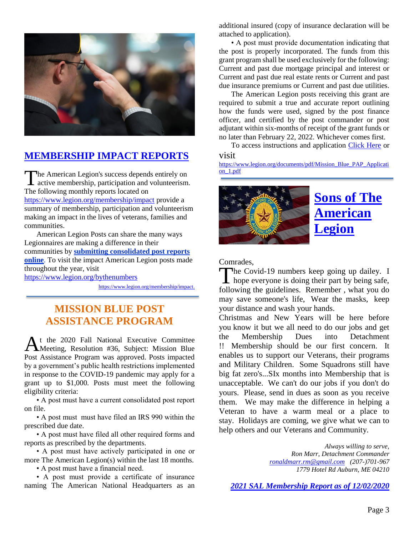

### **[MEMBERSHIP IMPACT REPORTS](https://www.legion.org/membership/impact)**

he American Legion's success depends entirely on The American Legion's success depends entirely on<br>active membership, participation and volunteerism. The following monthly reports located on <https://www.legion.org/membership/impact> provide a summary of membership, participation and volunteerism making an impact in the lives of veterans, families and communities.

American Legion Posts can share the many ways Legionnaires are making a difference in their communities by **[submitting consolidated post reports](http://www.mylegion.org/)  [online](http://www.mylegion.org/)**. To visit the impact American Legion posts made throughout the year, visit <https://www.legion.org/bythenumbers>

[https://www.legion.org/membership/impact.](https://www.legion.org/membership/impact)

### **MISSION BLUE POST ASSISTANCE PROGRAM**

t the 2020 Fall National Executive Committee Meeting, Resolution #36, Subject: Mission Blue Post Assistance Program was approved. Posts impacted by a government's public health restrictions implemented in response to the COVID-19 pandemic may apply for a grant up to \$1,000. Posts must meet the following eligibility criteria: A

• A post must have a current consolidated post report on file.

• A post must must have filed an IRS 990 within the prescribed due date.

• A post must have filed all other required forms and reports as prescribed by the departments.

• A post must have actively participated in one or more The American Legion(s) within the last 18 months.

• A post must have a financial need.

• A post must provide a certificate of insurance naming The American National Headquarters as an additional insured (copy of insurance declaration will be attached to application).

• A post must provide documentation indicating that the post is properly incorporated. The funds from this grant program shall be used exclusively for the following: Current and past due mortgage principal and interest or Current and past due real estate rents or Current and past due insurance premiums or Current and past due utilities.

The American Legion posts receiving this grant are required to submit a true and accurate report outlining how the funds were used, signed by the post finance officer, and certified by the post commander or post adjutant within six-months of receipt of the grant funds or no later than February 22, 2022. Whichever comes first.

To access instructions and application [Click Here](https://www.legion.org/documents/pdf/Mission_Blue_PAP_Application_1.pdf) or visit

[https://www.legion.org/documents/pdf/Mission\\_Blue\\_PAP\\_Applicati](https://www.legion.org/documents/pdf/Mission_Blue_PAP_Application_1.pdf) [on\\_1.pdf](https://www.legion.org/documents/pdf/Mission_Blue_PAP_Application_1.pdf)



# **[Sons](https://www.legion.org/sons) of The American Legion**

Comrades,

The Covid-19 numbers keep going up dailey. I The Covid-19 numbers keep going up dailey. I<br>hope everyone is doing their part by being safe, following the guidelines. Remember , what you do may save someone's life, Wear the masks, keep your distance and wash your hands.

Christmas and New Years will be here before you know it but we all need to do our jobs and get the Membership Dues into Detachment !! Membership should be our first concern. It enables us to support our Veterans, their programs and Military Children. Some Squadrons still have big fat zero's...SIx months into Membership that is unacceptable. We can't do our jobs if you don't do yours. Please, send in dues as soon as you receive them. We may make the difference in helping a Veteran to have a warm meal or a place to stay. Holidays are coming, we give what we can to help others and our Veterans and Community.

> *Always willing to serve, Ron Marr, Detachment Commander [ronaldmarr.rm@gmail.com](mailto:ronaldmarr.rm@gmail.com) (207-)701-967 1779 Hotel Rd Auburn, ME 04210*

*[2021 SAL Membership Report as of 12/02/2020](http://www.mainelegion.org/media/SAL/2021_SAL_Membership_Report_12.2.2020.pdf)*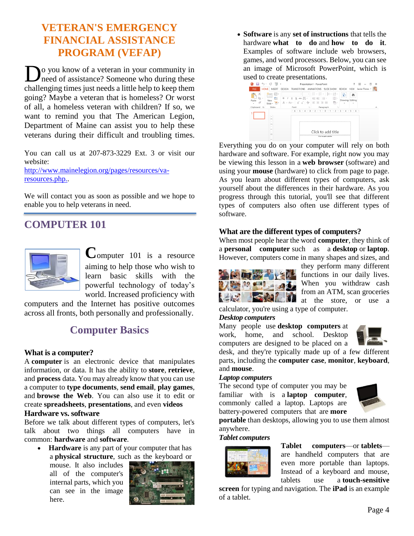### **VETERAN'S EMERGENCY FINANCIAL ASSISTANCE PROGRAM (VEFAP)**

**D**<sup>o</sup> you know of a veteran in your community in need of assistance? Someone who during these need of assistance? Someone who during these challenging times just needs a little help to keep them going? Maybe a veteran that is homeless? Or worst of all, a homeless veteran with children? If so, we want to remind you that The American Legion, Department of Maine can assist you to help these veterans during their difficult and troubling times.

You can call us at 207-873-3229 Ext. 3 or visit our website:

[http://www.mainelegion.org/pages/resources/va](http://www.mainelegion.org/pages/resources/va-resources.php.)[resources.php..](http://www.mainelegion.org/pages/resources/va-resources.php.)

We will contact you as soon as possible and we hope to enable you to help veterans in need.

### **COMPUTER 101**



**C**omputer 101 is a resource aiming to help those who wish to learn basic skills with the powerful technology of today's world. Increased proficiency with

computers and the Internet has positive outcomes across all fronts, both personally and professionally.

### **Computer Basics**

#### **What is a computer?**

A **computer** is an electronic device that manipulates information, or data. It has the ability to **store**, **retrieve**, and **process** data. You may already know that you can use a computer to **type documents**, **send email**, **play games**, and **browse the Web**. You can also use it to edit or create **spreadsheets**, **presentations**, and even **videos**

#### **Hardware vs. software**

Before we talk about different types of computers, let's talk about two things all computers have in common: **hardware** and **software**.

 **Hardware** is any part of your computer that has a **physical structure**, such as the keyboard or

mouse. It also includes all of the computer's internal parts, which you can see in the image here.



 **Software** is any **set of instructions** that tells the hardware **what to do** and **how to do it**. Examples of software include web browsers, games, and word processors. Below, you can see an image of Microsoft PowerPoint, which is



Everything you do on your computer will rely on both hardware and software. For example, right now you may be viewing this lesson in a **web browser** (software) and using your **mouse** (hardware) to click from page to page. As you learn about different types of computers, ask yourself about the differences in their hardware. As you progress through this tutorial, you'll see that different types of computers also often use different types of software.

#### **What are the different types of computers?**

When most people hear the word **computer**, they think of a **personal computer** such as a **desktop** or **laptop**. However, computers come in many shapes and sizes, and



they perform many different functions in our daily lives. When you withdraw cash from an ATM, scan groceries at the store, or use a

calculator, you're using a type of computer. *Desktop computers*

Many people use **desktop computers** at work, home, and school. Desktop computers are designed to be placed on a



desk, and they're typically made up of a few different parts, including the **computer case**, **monitor**, **keyboard**, and **mouse**.

#### *Laptop computers*

The second type of computer you may be familiar with is a **laptop computer**, commonly called a laptop. Laptops are battery-powered computers that are **more** 



**portable** than desktops, allowing you to use them almost anywhere.

#### *Tablet computers*



**Tablet computers**—or **tablets** are handheld computers that are even more portable than laptops. Instead of a keyboard and mouse, tablets use a **touch-sensitive** 

**screen** for typing and navigation. The **iPad** is an example of a tablet.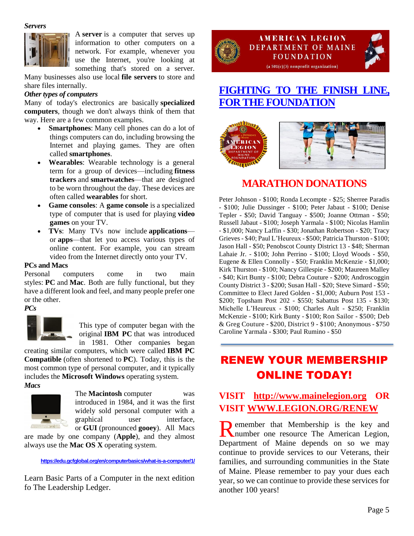*Servers*



A **server** is a computer that serves up information to other computers on a network. For example, whenever you use the Internet, you're looking at something that's stored on a server.

Many businesses also use local **file servers** to store and share files internally.

#### *Other types of computers*

Many of today's electronics are basically **specialized computers**, though we don't always think of them that way. Here are a few common examples.

- **Smartphones**: Many cell phones can do a lot of things computers can do, including browsing the Internet and playing games. They are often called **smartphones**.
- **Wearables**: Wearable technology is a general term for a group of devices—including **fitness trackers** and **smartwatches**—that are designed to be worn throughout the day. These devices are often called **wearables** for short.
- **Game consoles**: A **game console** is a specialized type of computer that is used for playing **video games** on your TV.
- **TVs**: Many TVs now include **applications** or **apps**—that let you access various types of online content. For example, you can stream video from the Internet directly onto your TV.

#### **PCs and Macs**

Personal computers come in two main styles: **PC** and **Mac**. Both are fully functional, but they have a different look and feel, and many people prefer one or the other.

#### *PCs*



This type of computer began with the original **IBM PC** that was introduced in 1981. Other companies began

creating similar computers, which were called **IBM PC Compatible** (often shortened to **PC**). Today, this is the most common type of personal computer, and it typically includes the **Microsoft Windows** operating system. *Macs*



The **Macintosh** computer was introduced in 1984, and it was the first widely sold personal computer with a graphical user interface, or **GUI** (pronounced **gooey**). All Macs

are made by one company (**Apple**), and they almost always use the **Mac OS X** operating system.

**<https://edu.gcfglobal.org/en/computerbasics/what-is-a-computer/1/>**

Learn Basic Parts of a Computer in the next edition fo The Leadership Ledger.



#### **AMERICAN LEGION DEPARTMENT OF MAINE FOUNDATION**  $(a 501(c)(3)$  nonprofit organization)

### **[FIGHTING TO THE FINISH LINE,](https://www.gofundme.com/f/5hx779-a-cause-i-care-about-needs-help?utm_source=customer&utm_medium=copy_link&utm_campaign=p_cf+share-flow-1)  [FOR THE FOUNDATION](https://www.gofundme.com/f/5hx779-a-cause-i-care-about-needs-help?utm_source=customer&utm_medium=copy_link&utm_campaign=p_cf+share-flow-1)**



### **MARATHON DONATIONS**

Peter Johnson - \$100; Ronda Lecompte - \$25; Sherree Paradis - \$100; Julie Dussinger - \$100; Peter Jabaut - \$100; Denise Tepler - \$50; David Tanguay - \$500; Joanne Ottman - \$50; Russell Jabaut - \$100; Joseph Yarmala - \$100; Nicolas Hamlin - \$1,000; Nancy Laffin - \$30; Jonathan Robertson - \$20; Tracy Grieves - \$40; Paul L'Heureux - \$500; Patricia Thurston - \$100; Jason Hall - \$50; Penobscot County District 13 - \$48; Sherman Lahaie Jr. - \$100; John Perrino - \$100; Lloyd Woods - \$50, Eugene & Ellen Connolly - \$50; Franklin McKenzie - \$1,000; Kirk Thurston - \$100; Nancy Gillespie - \$200; Maureen Malley - \$40; Kirt Bunty - \$100; Debra Couture - \$200; Androscoggin County District 3 - \$200; Susan Hall - \$20; Steve Simard - \$50; Committee to Elect Jared Golden - \$1,000; Auburn Post 153 - \$200; Topsham Post 202 - \$550; Sabattus Post 135 - \$130; Michelle L'Heureux - \$100; Charles Ault - \$250; Franklin McKenzie - \$100; Kirk Bunty - \$100; Ron Sailor - \$500; Deb & Greg Couture - \$200, District 9 - \$100; Anonymous - \$750 Caroline Yarmala - \$300; Paul Rumino - \$50

# RENEW YOUR MEMBERSHIP ONLINE TODAY!

### **VISIT [http://www.mainelegion.org](http://www.mainelegion.org/) OR VISIT [WWW.LEGION.ORG/RENEW](http://www.legion.org/RENEW)**

emember that Membership is the key and Remember that Membership is the key and number one resource The American Legion, Department of Maine depends on so we may continue to provide services to our Veterans, their families, and surrounding communities in the State of Maine. Please remember to pay your dues each year, so we can continue to provide these services for another 100 years!